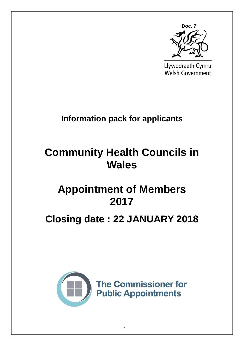

Llywodraeth Cymru Welsh Government

# **Information pack for applicants**

# **Community Health Councils in Wales**

# **Appointment of Members 2017**

# **Closing date : 22 JANUARY 2018**

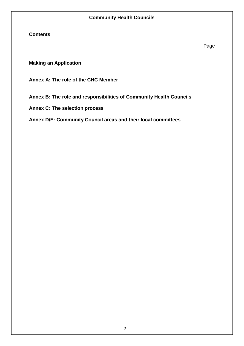**Contents**

Page

**Making an Application**

**Annex A: The role of the CHC Member** 

**Annex B: The role and responsibilities of Community Health Councils**

**Annex C: The selection process**

**Annex D/E: Community Council areas and their local committees**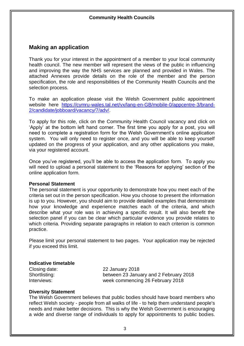# **Making an application**

Thank you for your interest in the appointment of a member to your local community health council. The new member will represent the views of the public in influencing and improving the way the NHS services are planned and provided in Wales. The attached Annexes provide details on the role of the member and the person specification, the role and responsibilities of the Community Health Councils and the selection process.

To make an application please visit the Welsh Government public appointment website here [https://cymru-wales.tal.net/vx/lang-en-GB/mobile-0/appcentre-3/brand-](https://cymru-wales.tal.net/vx/lang-en-GB/mobile-0/appcentre-3/brand-2/candidate/jobboard/vacancy/7/adv/)[2/candidate/jobboard/vacancy/7/adv/.](https://cymru-wales.tal.net/vx/lang-en-GB/mobile-0/appcentre-3/brand-2/candidate/jobboard/vacancy/7/adv/)

To apply for this role, click on the Community Health Council vacancy and click on 'Apply' at the bottom left hand corner. The first time you apply for a post, you will need to complete a registration form for the Welsh Government's online application system. You will only need to register once, and you will be able to keep yourself updated on the progress of your application, and any other applications you make, via your registered account.

Once you've registered, you'll be able to access the application form. To apply you will need to upload a personal statement to the 'Reasons for applying' section of the online application form.

#### **Personal Statement**

The personal statement is your opportunity to demonstrate how you meet each of the criteria set out in the person specification. How you choose to present the information is up to you. However, you should aim to provide detailed examples that demonstrate how your knowledge and experience matches each of the criteria, and which describe what your role was in achieving a specific result. It will also benefit the selection panel if you can be clear which particular evidence you provide relates to which criteria. Providing separate paragraphs in relation to each criterion is common practice.

Please limit your personal statement to two pages. Your application may be rejected if you exceed this limit.

#### **Indicative timetable**

Closing date: 22 January 2018 Shortlisting: between 23 January and 2 February 2018 Interviews: week commencing 26 February 2018

#### **Diversity Statement**

The Welsh Government believes that public bodies should have board members who reflect Welsh society - people from all walks of life - to help them understand people's needs and make better decisions. This is why the Welsh Government is encouraging a wide and diverse range of individuals to apply for appointments to public bodies.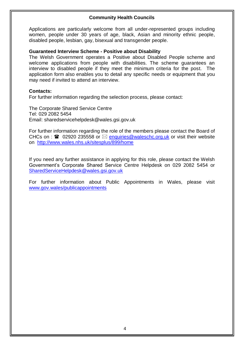Applications are particularly welcome from all under-represented groups including women, people under 30 years of age, black, Asian and minority ethnic people, disabled people, lesbian, gay, bisexual and transgender people.

#### **Guaranteed Interview Scheme - Positive about Disability**

The Welsh Government operates a Positive about Disabled People scheme and welcome applications from people with disabilities. The scheme guarantees an interview to disabled people if they meet the minimum criteria for the post. The application form also enables you to detail any specific needs or equipment that you may need if invited to attend an interview.

#### **Contacts:**

For further information regarding the selection process, please contact:

The Corporate Shared Service Centre Tel: 029 2082 5454 Email: sharedservicehelpdesk@wales.gsi.gov.uk

For further information regarding the role of the members please contact the Board of CHCs on :  $\mathbf{\hat{m}}$  02920 235558 or  $\boxtimes$  [enquiries@waleschc.org.uk](mailto:enquiries@waleschc.org.uk) or visit their website on <http://www.wales.nhs.uk/sitesplus/899/home>

If you need any further assistance in applying for this role, please contact the Welsh Government's Corporate Shared Service Centre Helpdesk on 029 2082 5454 or [SharedServiceHelpdesk@wales.gsi.gov.uk](mailto:SharedServiceHelpdesk@wales.gsi.gov.uk) 

For further information about Public Appointments in Wales, please visit [www.gov.wales/publicappointments](http://www.gov.wales/publicappointments)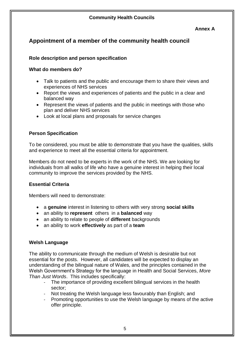## **Annex A**

# **Appointment of a member of the community health council**

### **Role description and person specification**

#### **What do members do?**

- Talk to patients and the public and encourage them to share their views and experiences of NHS services
- Report the views and experiences of patients and the public in a clear and balanced way
- Represent the views of patients and the public in meetings with those who plan and deliver NHS services
- Look at local plans and proposals for service changes

## **Person Specification**

To be considered, you must be able to demonstrate that you have the qualities, skills and experience to meet all the essential criteria for appointment.

Members do not need to be experts in the work of the NHS. We are looking for individuals from all walks of life who have a genuine interest in helping their local community to improve the services provided by the NHS.

## **Essential Criteria**

Members will need to demonstrate:

- a **genuine** interest in listening to others with very strong **social skills**
- an ability to **represent** others in a **balanced** way
- an ability to relate to people of **different** backgrounds
- an ability to work **effectively** as part of a **team**

#### **Welsh Language**

The ability to communicate through the medium of Welsh is desirable but not essential for the posts. However, all candidates will be expected to display an understanding of the bilingual nature of Wales, and the principles contained in the Welsh Government's Strategy for the language in Health and Social Services, *More Than Just Words*. This includes specifically:

- The importance of providing excellent bilingual services in the health sector;
- Not treating the Welsh language less favourably than English; and
- Promoting opportunities to use the Welsh language by means of the active offer principle.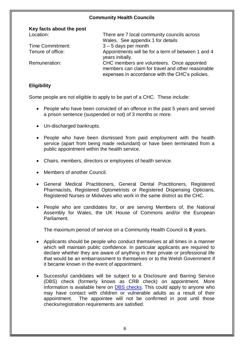| Key facts about the post |                                                                                                                                                    |  |
|--------------------------|----------------------------------------------------------------------------------------------------------------------------------------------------|--|
| Location:                | There are 7 local community councils across                                                                                                        |  |
|                          | Wales. See appendix 1 for details                                                                                                                  |  |
| <b>Time Commitment:</b>  | $3 - 5$ days per month                                                                                                                             |  |
| Tenure of office:        | Appointments will be for a term of between 1 and 4<br>years initially.                                                                             |  |
| Remuneration:            | CHC members are volunteers. Once appointed<br>members can claim for travel and other reasonable<br>expenses in accordance with the CHC's policies. |  |
|                          |                                                                                                                                                    |  |

#### **Eligibility**

Some people are not eligible to apply to be part of a CHC. These include:

- People who have been convicted of an offence in the past 5 years and served a prison sentence (suspended or not) of 3 months or more.
- Un-discharged bankrupts.
- People who have been dismissed from paid employment with the health service (apart from being made redundant) or have been terminated from a public appointment within the health service.
- Chairs, members, directors or employees of health service.
- Members of another Council.
- General Medical Practitioners, General Dental Practitioners, Registered Pharmacists, Registered Optometrists or Registered Dispensing Opticians, Registered Nurses or Midwives who work in the same district as the CHC.
- People who are candidates for, or are serving Members of, the National Assembly for Wales, the UK House of Commons and/or the European Parliament.

The maximum period of service on a Community Health Council is **8** years.

- Applicants should be people who conduct themselves at all times in a manner which will maintain public confidence. In particular applicants are required to declare whether they are aware of anything in their private or professional life that would be an embarrassment to themselves or to the Welsh Government if it became known in the event of appointment.
- Successful candidates will be subject to a Disclosure and Barring Service (DBS) check (formerly knows as CRB check) on appointment. More information is available here on [DBS checks.](http://www.homeoffice.gov.uk/agencies-public-bodies/dbs) This could apply to anyone who may have contact with children or vulnerable adults as a result of their appointment. The appointee will not be confirmed in post until those checks/registration requirements are satisfied.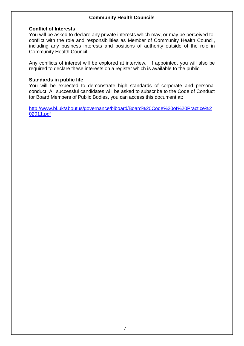#### **Conflict of Interests**

You will be asked to declare any private interests which may, or may be perceived to, conflict with the role and responsibilities as Member of Community Health Council, including any business interests and positions of authority outside of the role in Community Health Council.

Any conflicts of interest will be explored at interview. If appointed, you will also be required to declare these interests on a register which is available to the public.

#### **Standards in public life**

You will be expected to demonstrate high standards of corporate and personal conduct. All successful candidates will be asked to subscribe to the Code of Conduct for Board Members of Public Bodies, you can access this document at:

[http://www.bl.uk/aboutus/governance/blboard/Board%20Code%20of%20Practice%2](http://www.bl.uk/aboutus/governance/blboard/Board%20Code%20of%20Practice%202011.pdf) [02011.pdf](http://www.bl.uk/aboutus/governance/blboard/Board%20Code%20of%20Practice%202011.pdf)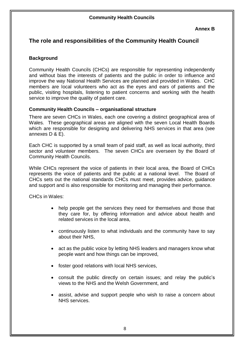# **The role and responsibilities of the Community Health Council**

# **Background**

Community Health Councils (CHCs) are responsible for representing independently and without bias the interests of patients and the public in order to influence and improve the way National Health Services are planned and provided in Wales. CHC members are local volunteers who act as the eyes and ears of patients and the public, visiting hospitals, listening to patient concerns and working with the health service to improve the quality of patient care.

# **Community Health Councils – organisational structure**

There are seven CHCs in Wales, each one covering a distinct geographical area of Wales. These geographical areas are aligned with the seven Local Health Boards which are responsible for designing and delivering NHS services in that area (see annexes D & E).

Each CHC is supported by a small team of paid staff, as well as local authority, third sector and volunteer members. The seven CHCs are overseen by the Board of Community Health Councils.

While CHCs represent the voice of patients in their local area, the Board of CHCs represents the voice of patients and the public at a national level. The Board of CHCs sets out the national standards CHCs must meet, provides advice, guidance and support and is also responsible for monitoring and managing their performance.

CHCs in Wales:

- help people get the services they need for themselves and those that they care for, by offering information and advice about health and related services in the local area,
- continuously listen to what individuals and the community have to say about their NHS
- act as the public voice by letting NHS leaders and managers know what people want and how things can be improved,
- foster good relations with local NHS services,
- consult the public directly on certain issues; and relay the public's views to the NHS and the Welsh Government, and
- assist, advise and support people who wish to raise a concern about NHS services.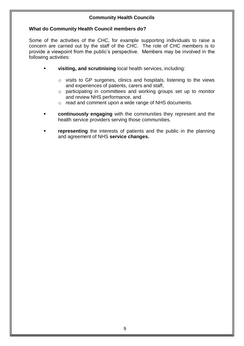# **What do Community Health Council members do?**

Some of the activities of the CHC, for example supporting individuals to raise a concern are carried out by the staff of the CHC. The role of CHC members is to provide a viewpoint from the public's perspective. Members may be involved in the following activities:

- **visiting, and scrutinising** local health services, including:
	- o visits to GP surgeries, clinics and hospitals, listening to the views and experiences of patients, carers and staff,
	- o participating in committees and working groups set up to monitor and review NHS performance, and
	- o read and comment upon a wide range of NHS documents.
- **continuously engaging** with the communities they represent and the health service providers serving those communities.
- **representing** the interests of patients and the public in the planning and agreement of NHS **service changes.**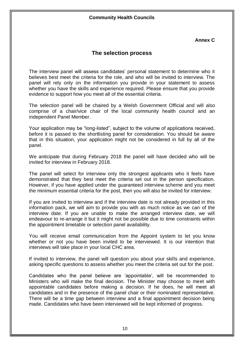#### **Annex C**

# **The selection process**

The interview panel will assess candidates' personal statement to determine who it believes best meet the criteria for the role, and who will be invited to interview. The panel will rely only on the information you provide in your statement to assess whether you have the skills and experience required. Please ensure that you provide evidence to support how you meet all of the essential criteria.

The selection panel will be chaired by a Welsh Government Official and will also comprise of a chair/vice chair of the local community health council and an independent Panel Member.

Your application may be "long-listed", subject to the volume of applications received, before it is passed to the shortlisting panel for consideration. You should be aware that in this situation, your application might not be considered in full by all of the panel.

We anticipate that during February 2018 the panel will have decided who will be invited for interview in February 2018.

The panel will select for interview only the strongest applicants who it feels have demonstrated that they best meet the criteria set out in the person specification. However, if you have applied under the guaranteed interview scheme and you meet the minimum essential criteria for the post, then you will also be invited for interview.

If you are invited to interview and if the interview date is not already provided in this information pack, we will aim to provide you with as much notice as we can of the interview date. If you are unable to make the arranged interview date, we will endeavour to re-arrange it but it might not be possible due to time constraints within the appointment timetable or selection panel availability.

You will receive email communication from the Appoint system to let you know whether or not you have been invited to be interviewed. It is our intention that interviews will take place in your local CHC area.

If invited to interview, the panel will question you about your skills and experience, asking specific questions to assess whether you meet the criteria set out for the post.

Candidates who the panel believe are 'appointable', will be recommended to Ministers who will make the final decision. The Minister may choose to meet with appointable candidates before making a decision. If he does, he will meet all candidates and in the presence of the panel chair or their nominated representative. There will be a time gap between interview and a final appointment decision being made. Candidates who have been interviewed will be kept informed of progress.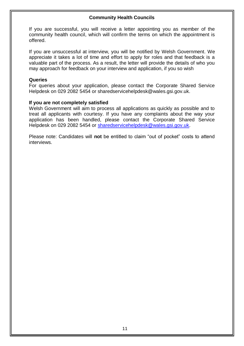If you are successful, you will receive a letter appointing you as member of the community health council, which will confirm the terms on which the appointment is offered.

If you are unsuccessful at interview, you will be notified by Welsh Government. We appreciate it takes a lot of time and effort to apply for roles and that feedback is a valuable part of the process. As a result, the letter will provide the details of who you may approach for feedback on your interview and application, if you so wish

#### **Queries**

For queries about your application, please contact the Corporate Shared Service Helpdesk on 029 2082 5454 or sharedservicehelpdesk@wales.gsi.gov.uk.

#### **If you are not completely satisfied**

Welsh Government will aim to process all applications as quickly as possible and to treat all applicants with courtesy. If you have any complaints about the way your application has been handled, please contact the Corporate Shared Service Helpdesk on 029 2082 5454 or [sharedservicehelpdesk@wales.gsi.gov.uk.](mailto:sharedservicehelpdesk@wales.gsi.gov.uk)

Please note: Candidates will **not** be entitled to claim "out of pocket" costs to attend interviews.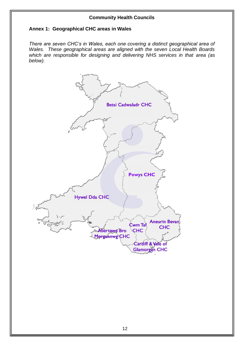# **Annex 1: Geographical CHC areas in Wales**

*There are seven CHC's in Wales, each one covering a distinct geographical area of Wales. These geographical areas are aligned with the seven Local Health Boards which are responsible for designing and delivering NHS services in that area (as below).*